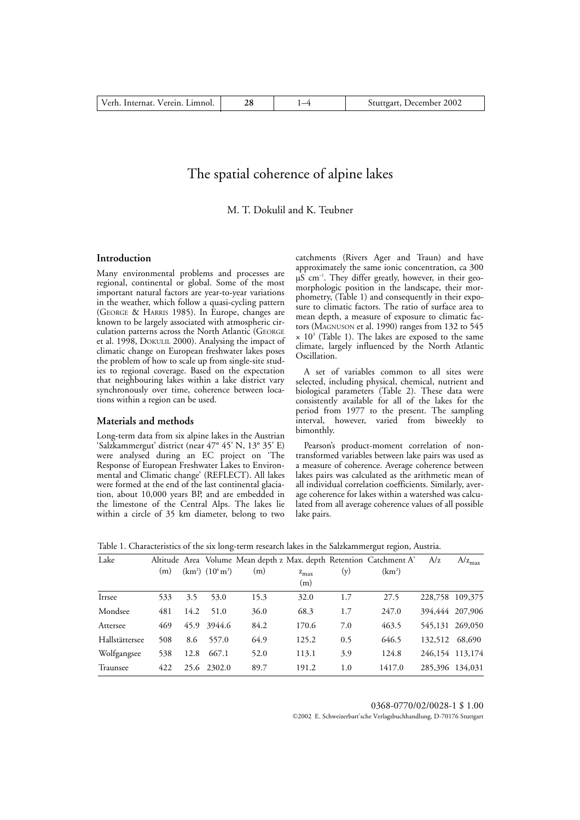# The spatial coherence of alpine lakes

M. T. Dokulil and K. Teubner

### **Introduction**

Many environmental problems and processes are regional, continental or global. Some of the most important natural factors are year-to-year variations in the weather, which follow a quasi-cycling pattern (GEORGE & HARRIS 1985). In Europe, changes are known to be largely associated with atmospheric circulation patterns across the North Atlantic (GEORGE et al. 1998, DOKULIL 2000). Analysing the impact of climatic change on European freshwater lakes poses the problem of how to scale up from single-site studies to regional coverage. Based on the expectation that neighbouring lakes within a lake district vary synchronously over time, coherence between locations within a region can be used.

### **Materials and methods**

Long-term data from six alpine lakes in the Austrian 'Salzkammergut' district (near 47° 45' N, 13° 35' E) were analysed during an EC project on 'The Response of European Freshwater Lakes to Environmental and Climatic change' (REFLECT). All lakes were formed at the end of the last continental glaciation, about 10,000 years BP, and are embedded in the limestone of the Central Alps. The lakes lie within a circle of 35 km diameter, belong to two

catchments (Rivers Ager and Traun) and have approximately the same ionic concentration, ca 300  $\mu S$  cm<sup>-1</sup>. They differ greatly, however, in their geomorphologic position in the landscape, their morphometry, (Table 1) and consequently in their exposure to climatic factors. The ratio of surface area to mean depth, a measure of exposure to climatic factors (MAGNUSON et al. 1990) ranges from 132 to 545  $\times$  10<sup>3</sup> (Table 1). The lakes are exposed to the same climate, largely influenced by the North Atlantic Oscillation.

A set of variables common to all sites were selected, including physical, chemical, nutrient and biological parameters (Table 2). These data were consistently available for all of the lakes for the period from 1977 to the present. The sampling interval, however, varied from biweekly to bimonthly.

Pearson's product-moment correlation of nontransformed variables between lake pairs was used as a measure of coherence. Average coherence between lakes pairs was calculated as the arithmetic mean of all individual correlation coefficients. Similarly, average coherence for lakes within a watershed was calculated from all average coherence values of all possible lake pairs.

|  |  |  | Table 1. Characteristics of the six long-term research lakes in the Salzkammergut region, Austria. |  |
|--|--|--|----------------------------------------------------------------------------------------------------|--|
|  |  |  |                                                                                                    |  |
|  |  |  |                                                                                                    |  |

| Lake           |     |      |                      |      |               |     | Altitude Area Volume Mean depth z Max. depth Retention Catchment A' | A/z     | $A/z_{max}$     |
|----------------|-----|------|----------------------|------|---------------|-----|---------------------------------------------------------------------|---------|-----------------|
|                | (m) |      | $(km^2)$ $(10^6m^3)$ | (m)  | $z_{\rm max}$ | (y) | (km <sup>2</sup> )                                                  |         |                 |
|                |     |      |                      |      | (m)           |     |                                                                     |         |                 |
| Irrsee         | 533 | 3.5  | 53.0                 | 15.3 | 32.0          | 1.7 | 27.5                                                                | 228,758 | 109,375         |
| Mondsee        | 481 | 14.2 | 51.0                 | 36.0 | 68.3          | 1.7 | 247.0                                                               |         | 394,444 207,906 |
| Attersee       | 469 | 45.9 | 3944.6               | 84.2 | 170.6         | 7.0 | 463.5                                                               |         | 545,131 269,050 |
| Hallstättersee | 508 | 8.6  | 557.0                | 64.9 | 125.2         | 0.5 | 646.5                                                               | 132,512 | 68,690          |
| Wolfgangsee    | 538 | 12.8 | 667.1                | 52.0 | 113.1         | 3.9 | 124.8                                                               |         | 246,154 113,174 |
| Traunsee       | 422 |      | 25.6 2302.0          | 89.7 | 191.2         | 1.0 | 1417.0                                                              |         | 285,396 134,031 |

0368-0770/02/0028-1 \$ 1.00

©2002 E. Schweizerbart'sche Verlagsbuchhandlung, D-70176 Stuttgart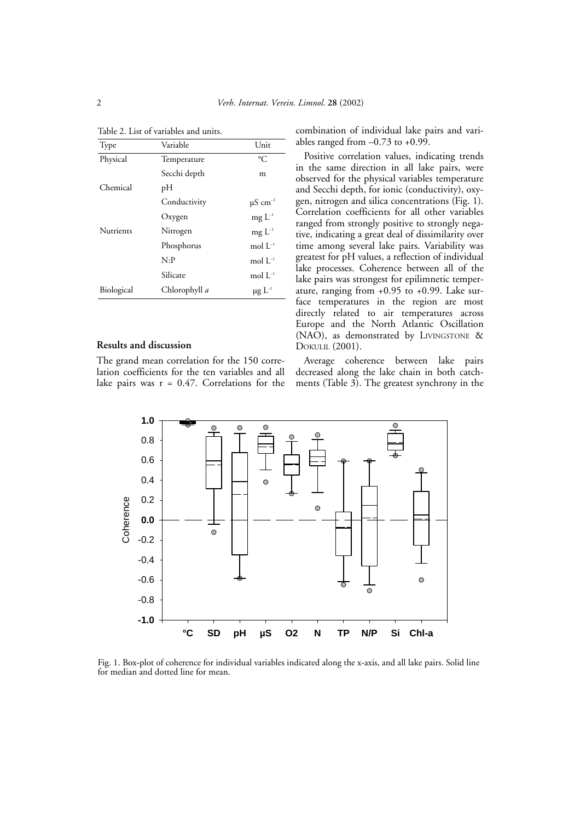| Type       | Variable      | Unit                     |
|------------|---------------|--------------------------|
| Physical   | Temperature   | $\rm ^{\circ}C$          |
|            | Secchi depth  | m                        |
| Chemical   | рH            |                          |
|            | Conductivity  | $\mu$ S cm <sup>-1</sup> |
|            | Oxygen        | $mg L^{-1}$              |
| Nutrients  | Nitrogen      | $mg L^{-1}$              |
|            | Phosphorus    | mol $L^{-1}$             |
|            | N: P          | mol $L^{-1}$             |
|            | Silicate      | mol $L^{-1}$             |
| Biological | Chlorophyll a | $\mu g \ L^{-1}$         |

Table 2. List of variables and units.

## **Results and discussion**

The grand mean correlation for the 150 correlation coefficients for the ten variables and all lake pairs was  $r = 0.47$ . Correlations for the

combination of individual lake pairs and variables ranged from  $-0.73$  to  $+0.99$ .

Positive correlation values, indicating trends in the same direction in all lake pairs, were observed for the physical variables temperature and Secchi depth, for ionic (conductivity), oxygen, nitrogen and silica concentrations (Fig. 1). Correlation coefficients for all other variables ranged from strongly positive to strongly negative, indicating a great deal of dissimilarity over time among several lake pairs. Variability was greatest for pH values, a reflection of individual lake processes. Coherence between all of the lake pairs was strongest for epilimnetic temperature, ranging from +0.95 to +0.99. Lake surface temperatures in the region are most directly related to air temperatures across Europe and the North Atlantic Oscillation (NAO), as demonstrated by LIVINGSTONE & DOKULIL (2001).

Average coherence between lake pairs decreased along the lake chain in both catchments (Table 3). The greatest synchrony in the



Fig. 1. Box-plot of coherence for individual variables indicated along the x-axis, and all lake pairs. Solid line for median and dotted line for mean.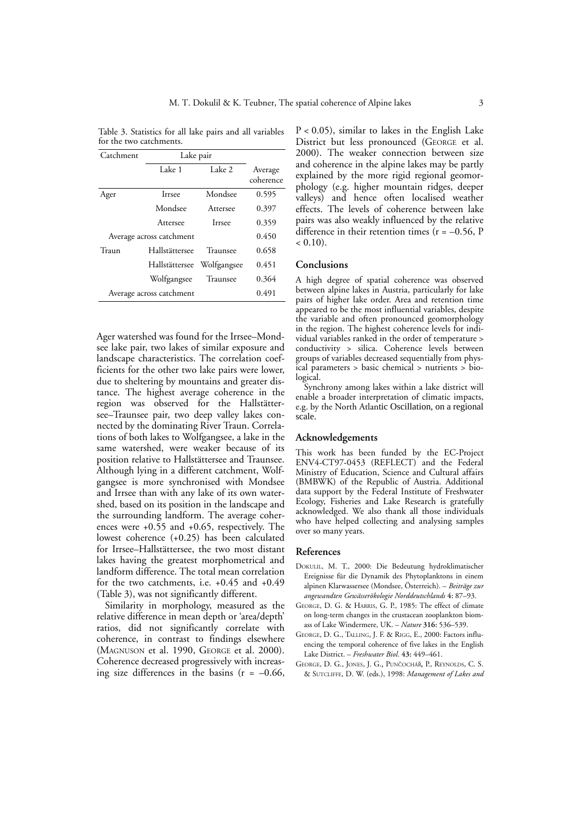| Catchment                | Lake pair                |             |                      |
|--------------------------|--------------------------|-------------|----------------------|
|                          | Lake 1                   | Lake 2      | Average<br>coherence |
| Ager                     | Irrsee                   | Mondsee     | 0.595                |
|                          | Mondsee                  | Attersee    | 0.397                |
|                          | Attersee                 | Irrsee      | 0.359                |
|                          | Average across catchment |             | 0.450                |
| Traun                    | Hallstättersee           | Traunsee    | 0.658                |
|                          | Hallstättersee           | Wolfgangsee | 0.451                |
|                          | Wolfgangsee              | Traunsee    | 0.364                |
| Average across catchment | 0.491                    |             |                      |

Table 3. Statistics for all lake pairs and all variables for the two catchments.

Ager watershed was found for the Irrsee–Mondsee lake pair, two lakes of similar exposure and landscape characteristics. The correlation coefficients for the other two lake pairs were lower, due to sheltering by mountains and greater distance. The highest average coherence in the region was observed for the Hallstättersee–Traunsee pair, two deep valley lakes connected by the dominating River Traun. Correlations of both lakes to Wolfgangsee, a lake in the same watershed, were weaker because of its position relative to Hallstättersee and Traunsee. Although lying in a different catchment, Wolfgangsee is more synchronised with Mondsee and Irrsee than with any lake of its own watershed, based on its position in the landscape and the surrounding landform. The average coherences were +0.55 and +0.65, respectively. The lowest coherence (+0.25) has been calculated for Irrsee–Hallstättersee, the two most distant lakes having the greatest morphometrical and landform difference. The total mean correlation for the two catchments, i.e. +0.45 and +0.49 (Table 3), was not significantly different.

Similarity in morphology, measured as the relative difference in mean depth or 'area/depth' ratios, did not significantly correlate with coherence, in contrast to findings elsewhere (MAGNUSON et al. 1990, GEORGE et al. 2000). Coherence decreased progressively with increasing size differences in the basins  $(r = -0.66,$   $P < 0.05$ ), similar to lakes in the English Lake District but less pronounced (GEORGE et al. 2000). The weaker connection between size and coherence in the alpine lakes may be partly explained by the more rigid regional geomorphology (e.g. higher mountain ridges, deeper valleys) and hence often localised weather effects. The levels of coherence between lake pairs was also weakly influenced by the relative difference in their retention times  $(r = -0.56, P)$  $< 0.10$ ).

### **Conclusions**

A high degree of spatial coherence was observed between alpine lakes in Austria, particularly for lake pairs of higher lake order. Area and retention time appeared to be the most influential variables, despite the variable and often pronounced geomorphology in the region. The highest coherence levels for individual variables ranked in the order of temperature > conductivity > silica. Coherence levels between groups of variables decreased sequentially from physical parameters > basic chemical > nutrients > biological.

Synchrony among lakes within a lake district will enable a broader interpretation of climatic impacts, e.g. by the North Atlantic Oscillation, on a regional scale.

### **Acknowledgements**

This work has been funded by the EC-Project ENV4-CT97-0453 (REFLECT) and the Federal Ministry of Education, Science and Cultural affairs (BMBWK) of the Republic of Austria. Additional data support by the Federal Institute of Freshwater Ecology, Fisheries and Lake Research is gratefully acknowledged. We also thank all those individuals who have helped collecting and analysing samples over so many years.

#### **References**

- DOKULIL, M. T., 2000: Die Bedeutung hydroklimatischer Ereignisse für die Dynamik des Phytoplanktons in einem alpinen Klarwassersee (Mondsee, Österreich). – *Beiträge zur angewandten Gewässerökologie Norddeutschlands* **4:** 87–93.
- GEORGE, D. G. & HARRIS, G. P., 1985: The effect of climate on long-term changes in the crustacean zooplankton biomass of Lake Windermere, UK. – *Nature* **316:** 536–539.
- GEORGE, D. G., TALLING, J. F. & RIGG, E., 2000: Factors influencing the temporal coherence of five lakes in the English Lake District. – *Freshwater Biol*. **43:** 449–461.
- GEORGE, D. G., JONES, J. G., PUNČOCHÁŘ, P., REYNOLDS, C. S. & SUTCLIFFE, D. W. (eds.), 1998: *Management of Lakes and*